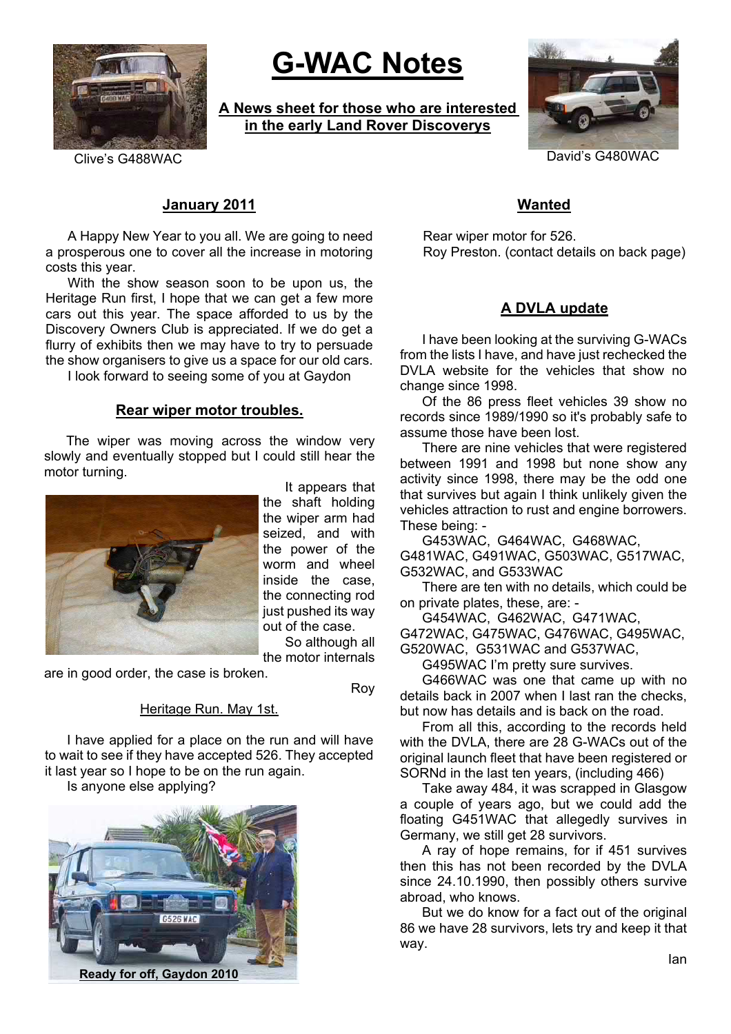

# **G-WAC Notes**

**A News sheet for those who are interested in the early Land Rover Discoverys**



Clive's G488WAC David's G480WAC

# **January 2011**

A Happy New Year to you all. We are going to need a prosperous one to cover all the increase in motoring costs this year.

With the show season soon to be upon us, the Heritage Run first, I hope that we can get a few more cars out this year. The space afforded to us by the Discovery Owners Club is appreciated. If we do get a flurry of exhibits then we may have to try to persuade the show organisers to give us a space for our old cars.

I look forward to seeing some of you at Gaydon

#### **Rear wiper motor troubles.**

The wiper was moving across the window very slowly and eventually stopped but I could still hear the motor turning.



It appears that the shaft holding the wiper arm had seized, and with the power of the worm and wheel inside the case, the connecting rod just pushed its way out of the case.

So although all the motor internals

are in good order, the case is broken.

Roy

#### Heritage Run. May 1st.

I have applied for a place on the run and will have to wait to see if they have accepted 526. They accepted it last year so I hope to be on the run again.

Is anyone else applying?



**Ready for off, Gaydon 2010**

# **Wanted**

Rear wiper motor for 526. Roy Preston. (contact details on back page)

## **A DVLA update**

I have been looking at the surviving G-WACs from the lists I have, and have just rechecked the DVLA website for the vehicles that show no change since 1998.

Of the 86 press fleet vehicles 39 show no records since 1989/1990 so it's probably safe to assume those have been lost.

There are nine vehicles that were registered between 1991 and 1998 but none show any activity since 1998, there may be the odd one that survives but again I think unlikely given the vehicles attraction to rust and engine borrowers. These being: -

G453WAC, G464WAC, G468WAC,

G481WAC, G491WAC, G503WAC, G517WAC, G532WAC, and G533WAC

There are ten with no details, which could be on private plates, these, are: -

G454WAC, G462WAC, G471WAC, G472WAC, G475WAC, G476WAC, G495WAC,

G520WAC, G531WAC and G537WAC,

G495WAC I'm pretty sure survives.

G466WAC was one that came up with no details back in 2007 when I last ran the checks, but now has details and is back on the road.

From all this, according to the records held with the DVLA, there are 28 G-WACs out of the original launch fleet that have been registered or SORNd in the last ten years, (including 466)

Take away 484, it was scrapped in Glasgow a couple of years ago, but we could add the floating G451WAC that allegedly survives in Germany, we still get 28 survivors.

A ray of hope remains, for if 451 survives then this has not been recorded by the DVLA since 24.10.1990, then possibly others survive abroad, who knows.

But we do know for a fact out of the original 86 we have 28 survivors, lets try and keep it that way.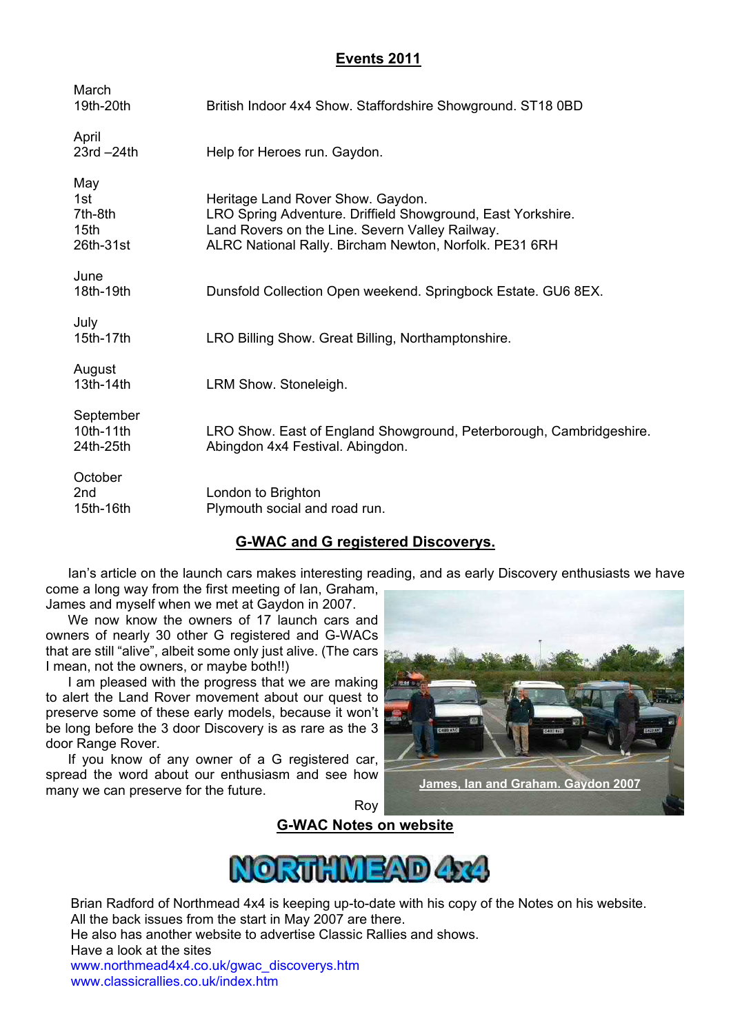## **Events 2011**

| March<br>19th-20th                                     | British Indoor 4x4 Show. Staffordshire Showground. ST18 0BD                                                                                                                                                   |
|--------------------------------------------------------|---------------------------------------------------------------------------------------------------------------------------------------------------------------------------------------------------------------|
| April<br>$23rd - 24th$                                 | Help for Heroes run. Gaydon.                                                                                                                                                                                  |
| May<br>1st<br>7th-8th<br>15 <sub>th</sub><br>26th-31st | Heritage Land Rover Show. Gaydon.<br>LRO Spring Adventure. Driffield Showground, East Yorkshire.<br>Land Rovers on the Line. Severn Valley Railway.<br>ALRC National Rally. Bircham Newton, Norfolk. PE31 6RH |
| June<br>18th-19th                                      | Dunsfold Collection Open weekend. Springbock Estate. GU6 8EX.                                                                                                                                                 |
| July<br>15th-17th                                      | LRO Billing Show. Great Billing, Northamptonshire.                                                                                                                                                            |
| August<br>13th-14th                                    | LRM Show. Stoneleigh.                                                                                                                                                                                         |
| September<br>10th-11th<br>24th-25th                    | LRO Show. East of England Showground, Peterborough, Cambridgeshire.<br>Abingdon 4x4 Festival. Abingdon.                                                                                                       |
| October<br>2 <sub>nd</sub><br>15th-16th                | London to Brighton<br>Plymouth social and road run.                                                                                                                                                           |

## **G-WAC and G registered Discoverys.**

Ian's article on the launch cars makes interesting reading, and as early Discovery enthusiasts we have come a long way from the first meeting of Ian, Graham,

James and myself when we met at Gaydon in 2007.

We now know the owners of 17 launch cars and owners of nearly 30 other G registered and G-WACs that are still "alive", albeit some only just alive. (The cars I mean, not the owners, or maybe both!!)

I am pleased with the progress that we are making to alert the Land Rover movement about our quest to preserve some of these early models, because it won't be long before the 3 door Discovery is as rare as the 3 door Range Rover.

If you know of any owner of a G registered car, spread the word about our enthusiasm and see how many we can preserve for the future.

**James, Ian and Graham. Gaydon 2007**

Roy





Brian Radford of Northmead 4x4 is keeping up-to-date with his copy of the Notes on his website. All the back issues from the start in May 2007 are there.

He also has another website to advertise Classic Rallies and shows.

Have a look at the sites

www.northmead4x4.co.uk/gwac\_discoverys.htm www.classicrallies.co.uk/index.htm